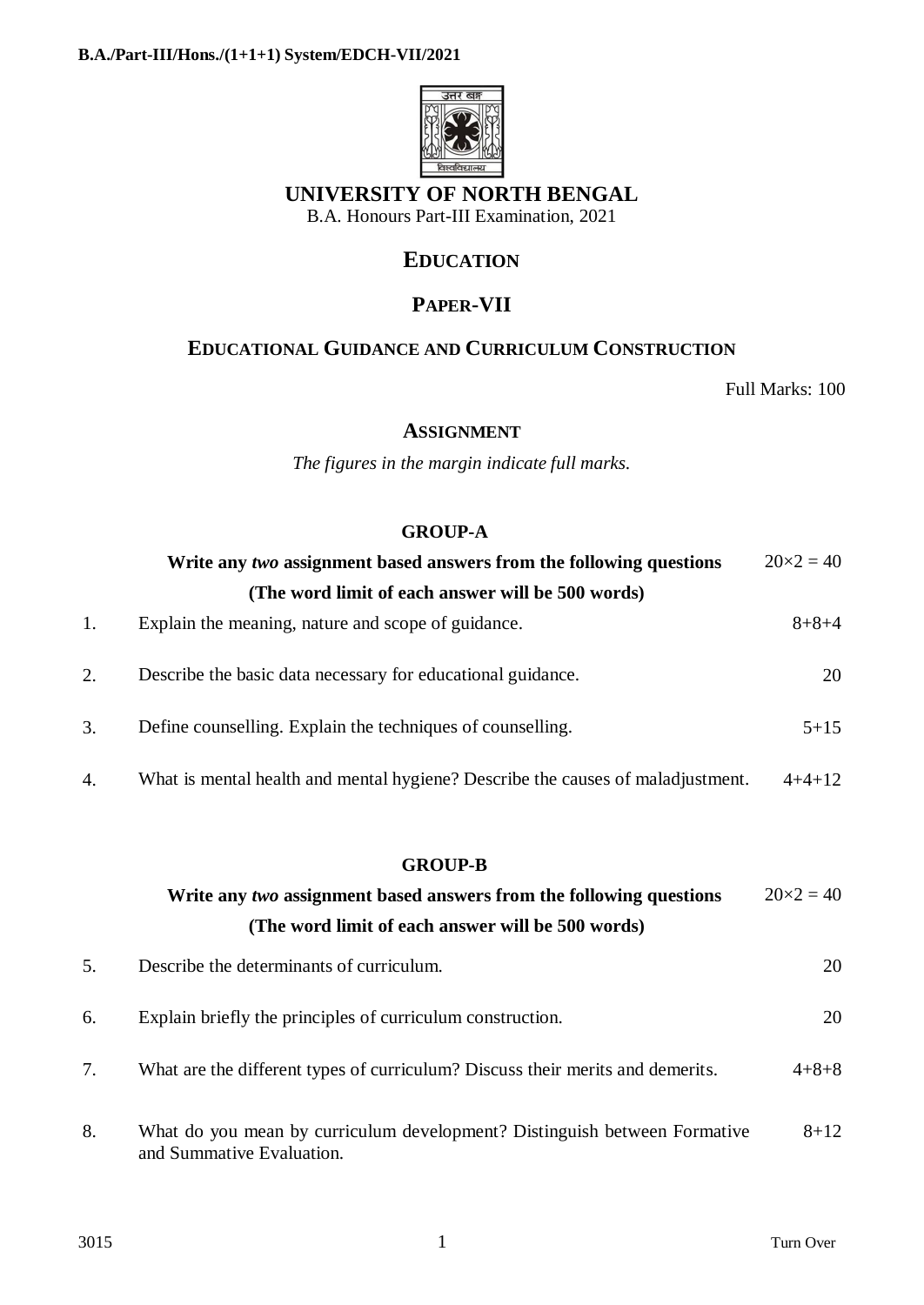

## **UNIVERSITY OF NORTH BENGAL**

B.A. Honours Part-III Examination, 2021

### **EDUCATION**

# **PAPER-VII**

### **EDUCATIONAL GUIDANCE AND CURRICULUM CONSTRUCTION**

Full Marks: 100

#### **ASSIGNMENT**

*The figures in the margin indicate full marks.*

### **GROUP-A**

|    | Write any two assignment based answers from the following questions             | $20 \times 2 = 40$ |
|----|---------------------------------------------------------------------------------|--------------------|
|    | (The word limit of each answer will be 500 words)                               |                    |
| 1. | Explain the meaning, nature and scope of guidance.                              | $8 + 8 + 4$        |
| 2. | Describe the basic data necessary for educational guidance.                     | 20                 |
| 3. | Define counselling. Explain the techniques of counselling.                      | $5 + 15$           |
| 4. | What is mental health and mental hygiene? Describe the causes of maladjustment. | $4+4+12$           |

#### **GROUP-B**

|    | Write any two assignment based answers from the following questions                                    | $20 \times 2 = 40$ |  |  |  |
|----|--------------------------------------------------------------------------------------------------------|--------------------|--|--|--|
|    | (The word limit of each answer will be 500 words)                                                      |                    |  |  |  |
| 5. | Describe the determinants of curriculum.                                                               | 20                 |  |  |  |
| 6. | Explain briefly the principles of curriculum construction.                                             | 20                 |  |  |  |
| 7. | What are the different types of curriculum? Discuss their merits and demerits.                         | $4 + 8 + 8$        |  |  |  |
| 8. | What do you mean by curriculum development? Distinguish between Formative<br>and Summative Evaluation. | $8 + 12$           |  |  |  |